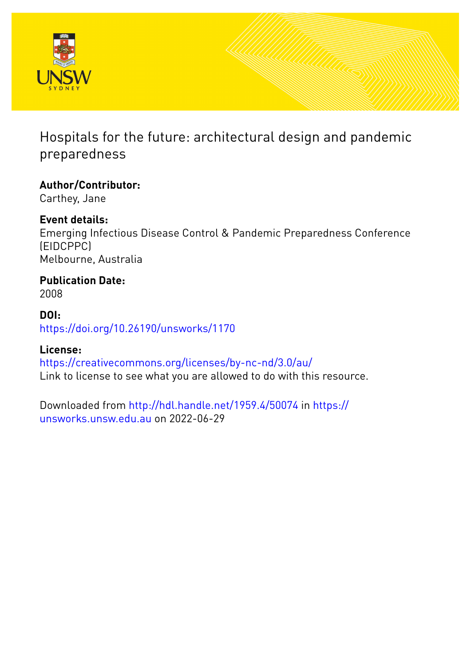

### Hospitals for the future: architectural design and pandemic preparedness

**Author/Contributor:** Carthey, Jane

**Event details:** Emerging Infectious Disease Control & Pandemic Preparedness Conference (EIDCPPC) Melbourne, Australia

**Publication Date:** 2008

**DOI:** [https://doi.org/10.26190/unsworks/1170](http://dx.doi.org/https://doi.org/10.26190/unsworks/1170)

#### **License:**

<https://creativecommons.org/licenses/by-nc-nd/3.0/au/> Link to license to see what you are allowed to do with this resource.

Downloaded from <http://hdl.handle.net/1959.4/50074> in [https://](https://unsworks.unsw.edu.au) [unsworks.unsw.edu.au](https://unsworks.unsw.edu.au) on 2022-06-29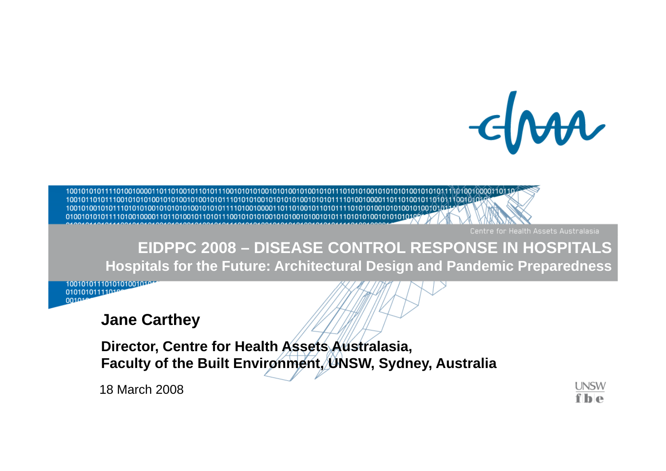$-\epsilon$ 

Centre for Health Assets Australasia

### **EIDPPC 2008 – DISEASE CONTROL RESPONSE IN HOSPITALS Hospitals for the Future: Architectural Design and Pandemic Preparedness**

1001010111010101001010 01010101111010 001014

### **Jane Carthey**

Director, Centre for Health Assets Australasia, Faculty of the Built Environment, UNSW, Sydney, Australia

18 March 2008

**UNSW**  $f|_P$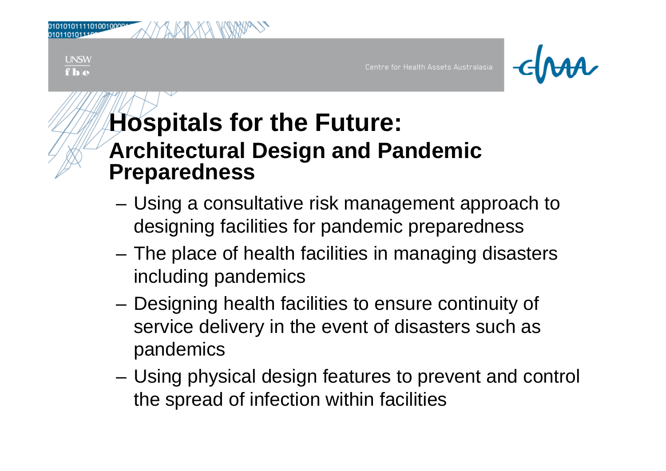**UNSW**  $f|_{h|a}$ 

Centre for Health Assets Australasia

## **Hospitals for the Future: Architectural Design and Pandemic Pre paredness**

- Using a consultative risk management approach to designing facilities for pandemic preparedness
- The place of health facilities in managing disasters including pandemics
- Designing health facilities to ensure continuity of service delivery in the event of disasters such as pandemics
- – Using physical design features to prevent and control the spread of infection within facilities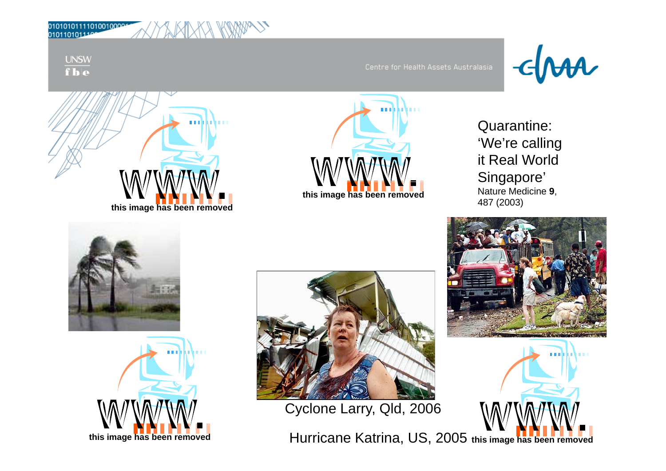**UNSW**  $fb$ 





Quarantine: 'We're calling it Real World Singapore' Nature Medicine **9**,







Cyclone Larry, Qld, 2006

**this image has been removed** Hurricane Katrina, US, 2005 **this image has been removed**



արինահայ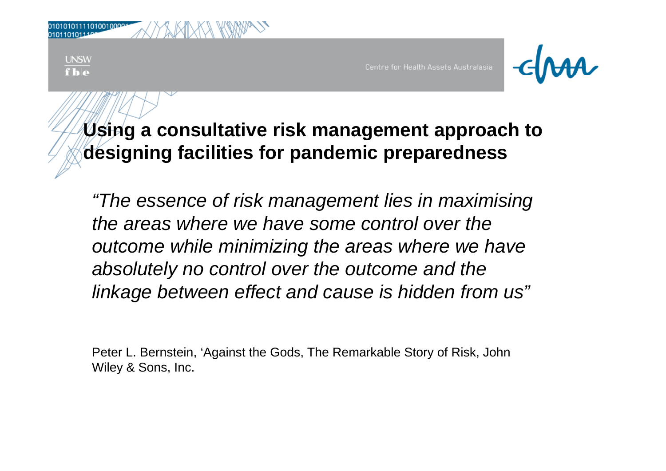| 0101011110100100004 |  |  |  | YAKIXKA KW |
|---------------------|--|--|--|------------|
| 01101011100         |  |  |  |            |

**UNSW**  $f**h**$ 

Centre for Health Assets Australasia



### **Using <sup>a</sup> consultative risk management approach to to designing facilities for pandemic preparedness**

*"The essence of risk management lies in maximising the areas where we have some control over the outcome while minimizing the areas where we have absolutely no control over the outcome and the linkage between effect and cause is hidden from us" between*

Peter L. Bernstein, 'Against the Gods, The Remarkable Story of Risk, John Wiley & Sons, Inc.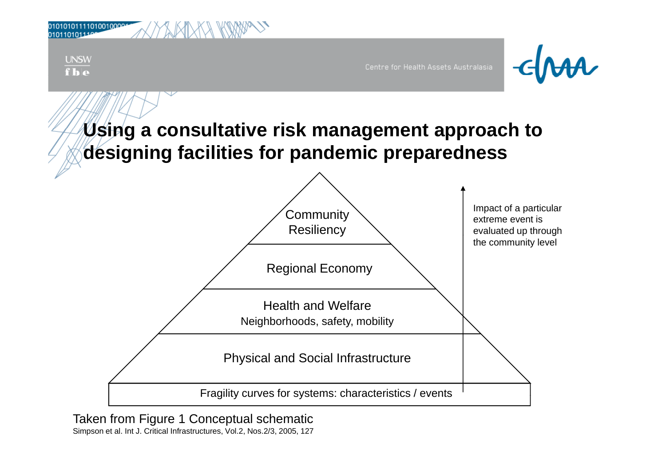

Taken from Figure 1 Conceptual schematic Simpson et al. Int J. Critical Infrastructures, Vol.2, Nos.2/3, 2005, 127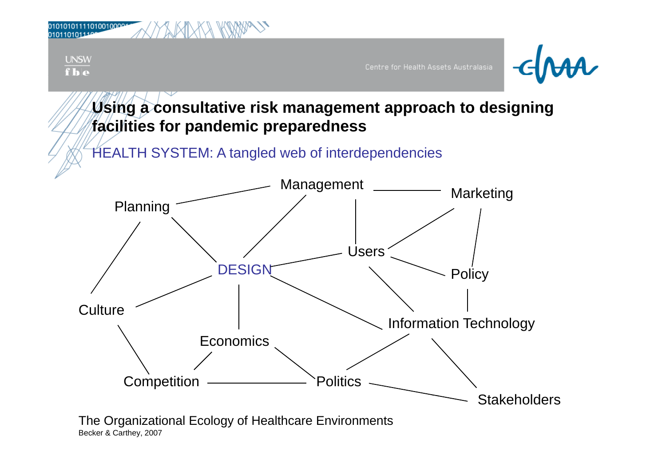

Becker & Carthey, 2007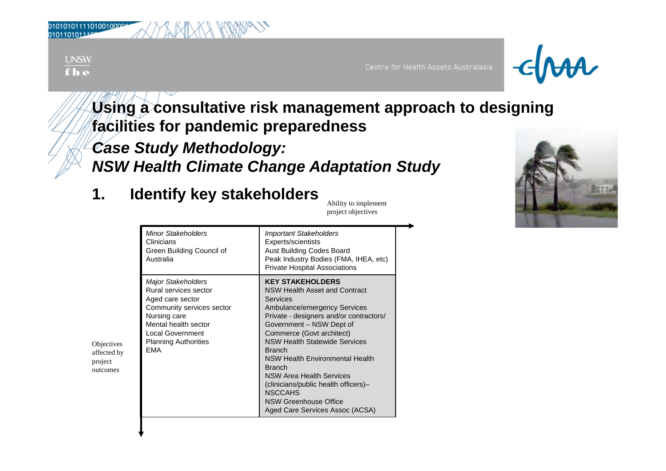| 101011110100100004 |  | LKT |  |  |
|--------------------|--|-----|--|--|
| 110101110          |  |     |  |  |

**UNSW**  $f|_{\mathbf{h}|\mathbf{e}}$ 

010<br>010

Objectives affected by project outcomes

Centre for Health Assets Australasia



**Using a consultative risk management approach to designing facilities for pandemic preparedness facilities**

*Case Study Methodology: NSW Health Climate Change Adaptation Study*

### **1. Identify key stakeholders**

Ability to implement project objectives

|                                                  | <b>Minor Stakeholders</b><br>Clinicians<br>Green Building Council of<br>Australia                                                                                                                            | <b>Important Stakeholders</b><br>Experts/scientists<br>Aust Building Codes Board<br>Peak Industry Bodies (FMA, IHEA, etc)<br><b>Private Hospital Associations</b>                                                                                                                                                                                                                                                                                                                            |
|--------------------------------------------------|--------------------------------------------------------------------------------------------------------------------------------------------------------------------------------------------------------------|----------------------------------------------------------------------------------------------------------------------------------------------------------------------------------------------------------------------------------------------------------------------------------------------------------------------------------------------------------------------------------------------------------------------------------------------------------------------------------------------|
| Objectives<br>affected by<br>project<br>outcomes | <b>Major Stakeholders</b><br>Rural services sector<br>Aged care sector<br>Community services sector<br>Nursing care<br>Mental health sector<br><b>Local Government</b><br><b>Planning Authorities</b><br>EMA | <b>KEY STAKEHOLDERS</b><br>NSW Health Asset and Contract<br>Services<br>Ambulance/emergency Services<br>Private - designers and/or contractors/<br>Government - NSW Dept of<br>Commerce (Govt architect)<br><b>NSW Health Statewide Services</b><br><b>Branch</b><br><b>NSW Health Environmental Health</b><br><b>Branch</b><br><b>NSW Area Health Services</b><br>(clinicians/public health officers)-<br><b>NSCCAHS</b><br><b>NSW Greenhouse Office</b><br>Aged Care Services Assoc (ACSA) |

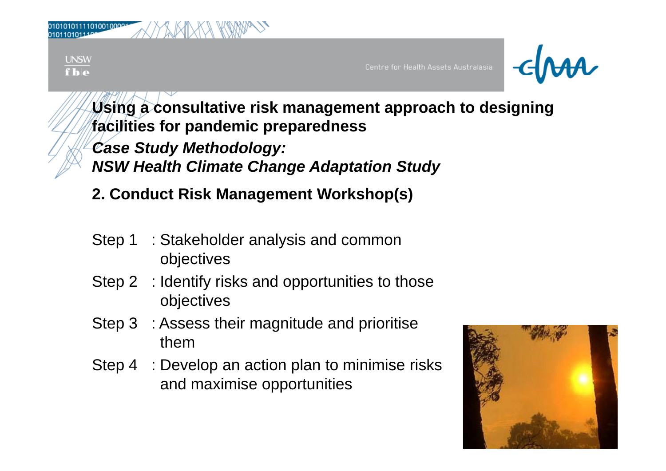| 010101011110100100004<br>0101101011106<br>ΛX<br>'XII |                                      |                           |
|------------------------------------------------------|--------------------------------------|---------------------------|
| UNSW<br>fb                                           | Centre for Health Assets Australasia | $ \epsilon$ $\mathcal{M}$ |

**Using a consultative risk management approach to designing facilities for pandemic preparedness facilities** *Case Study Methodology: NSW Health Climate Change Adaptation Study*

**2. Conduct Risk Management Workshop(s)**

- Step 1 : Stakeholder analysis and common objectives
- Step 2 : Identify risks and opportunities to those objectives
- Step 3 : Assess their magnitude and prioritise them
- Step 4 : Develop an action plan to minimise risks and maximise opportunities

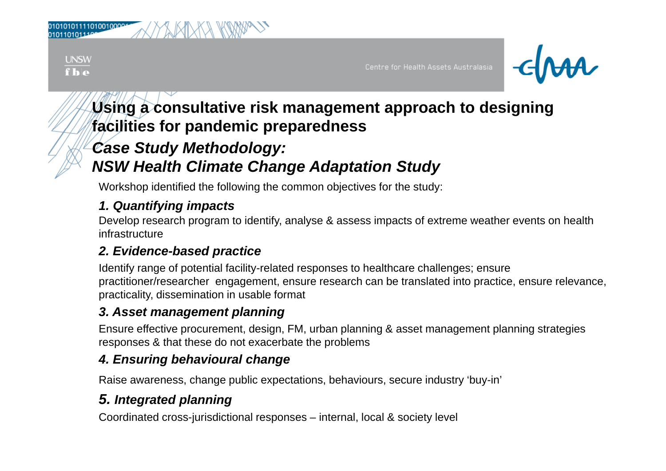**UNSW**  $f**h**$ 

Centre for Health Assets Australasia



### **Using a consultative risk management approach to designing facilities for pandemic preparedness facilities**

### *Case Study Methodology:*

### *NSW Health Climate Change Adaptation Study*

Workshop identified the following the common objectives for the study:

### *1. Quantifying impacts*

Develop research program to identify, analyse & assess impacts of extreme weather events on health infrastructure

### *2. Evidence-based practice*

Identify range of potential facility-related responses to healthcare challenges; ensure practitioner/researcher engagement, ensure research can be translated into practice, ensure relevance, practicality, dissemination in usable format

### *3. Asset management planning*

Ensure effective procurement, design, FM, urban planning & asset management planning strategies responses & that these do not exacerbate the problems

### *4. Ensuring behavioural change*

Raise awareness, change public expectations, behaviours, secure industry 'buy-in'

### *5. Integrated planning*

Coordinated cross-jurisdictional responses – internal, local & society level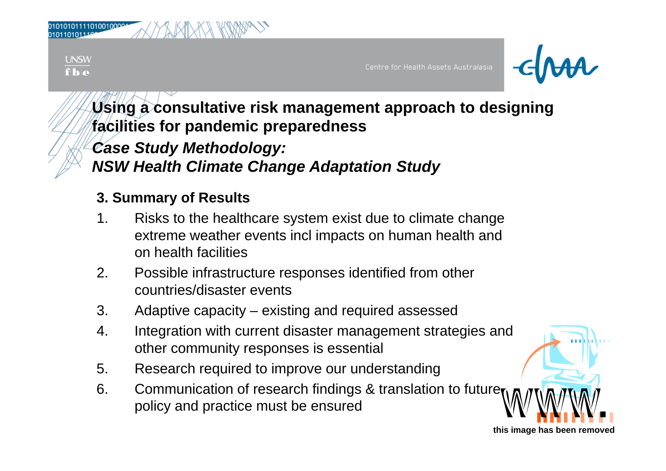| 010101011110100100004<br>0101101011100 | <b>COMPA</b><br>-lX<br>Ж١<br>₩<br>N<br>ΙV<br>۷I |  |
|----------------------------------------|-------------------------------------------------|--|
|                                        |                                                 |  |

**UNSW**  $f**h**$ 

Centre for Health Assets Australasia



**Using a consultative risk management approach to designing facilities for pandemic preparedness facilities** *Case Study Methodology:* 

*NSW Health Climate Change Adaptation Study*

### **3. Summary of Results**

- 1. Risks to the healthcare system exist due to climate change extreme weather events incl impacts on human health and on health facilities
- 2. Possible infrastructure responses identified from other countries/disaster events- - - - - -
- 3. Adaptive capacity existing and required assessed
- 4. Integration with current disaster management strategies and other community responses is essential
- 5. Research required to improve our understanding
- 6. Communication of research findings & translation to future policy and practice must be ensured

**this image has been removed**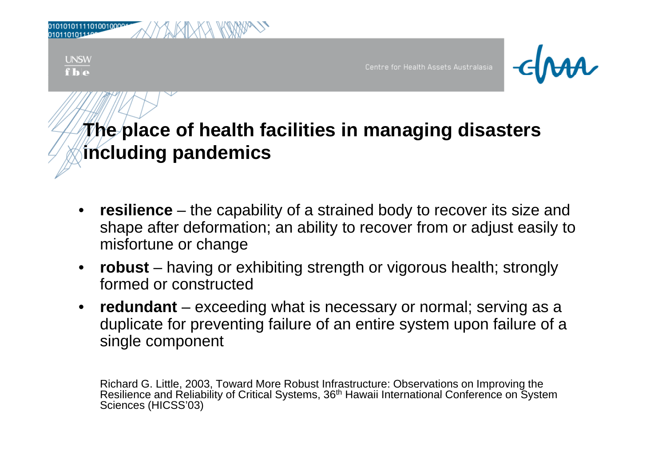| 010101011110100100001<br>0101101011199<br>XMXXX KWW          |                                      |                                        |
|--------------------------------------------------------------|--------------------------------------|----------------------------------------|
| $\frac{\text{UNSW}}{\text{f} \cdot \text{b} \cdot \text{e}}$ | Centre for Health Assets Australasia | $\overline{\mathcal{A}}$ $\mathcal{A}$ |

- • **resilience** – the capability of a strained body to recover its size and shape after deformation; an ability to recover from or adjust easily to misfortune or change
- • **robust** – having or exhibiting strength or vigorous health; strongly formed or constructed. . . . . . . . . . . . .
- $\bullet$  **redundant** – exceeding what is necessary or normal; serving as a duplicate for preventing failure of an entire system upon failure of a single component

Richard G. Little, 2003, Toward More Robust Infrastructure: Observations on Improving the Resilience and Reliability of Critical Systems, 36<sup>th</sup> Hawaii International Conference on System Sciences (HICSS'03)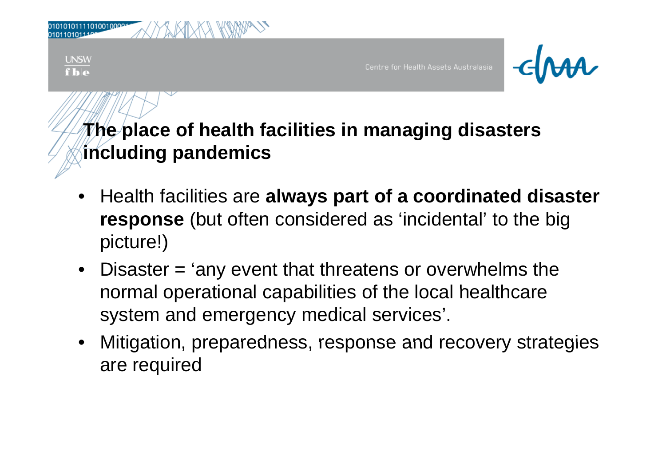

- • Health facilities are **always part of a coordinated disaster response** (but often considered as 'incidental' to the big picture!)
- Disaster = 'any event that threatens or overwhelms the normal operational capabilities of the local healthcare system and emergency medical services'.
- Mitigation, preparedness, response and recovery strategies are required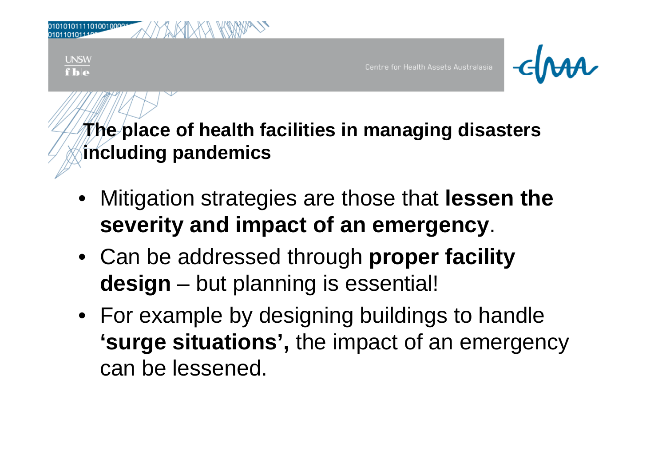

- Mitigation strategies are those that **lessen the severit y p gy and im pact of an emer genc y**.
- Can be addressed through **proper facility design** –- but planning is essential!
- For example by designing buildings to handle **'surge situations', the impact of an emergency** can be lessened.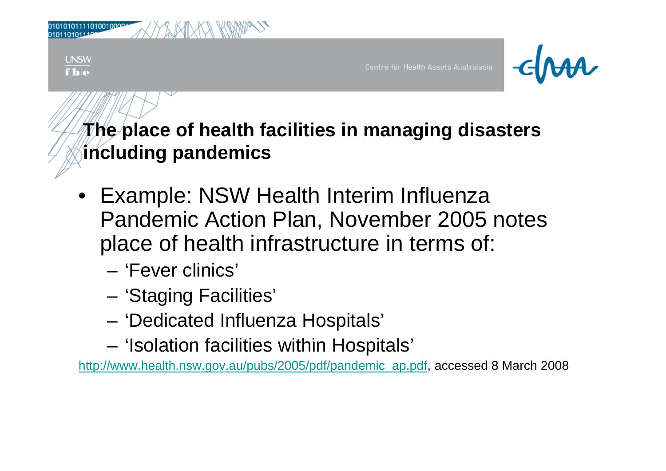| 010101011110100100004<br><i>MADIXA KWW</i>                         |                                      |        |
|--------------------------------------------------------------------|--------------------------------------|--------|
| $\frac{\text{UNSW}}{\textbf{f} \cdot \textbf{b} \cdot \textbf{e}}$ | Centre for Health Assets Australasia | $-dMA$ |

- Example: NSW Health Interim Influenza Pandemic Action Plan, November 2005 notes place of health infrastructure in terms of:
	- 'Fever clinics'
	- 'Staging Facilities'
	- 'Dedicated Influenza Hospitals'
	- 'Isolation facilities within Hospitals'

http://www.health.nsw.gov.au/pubs/2005/pdf/pandemic\_ap.pdf, accessed 8 March 2008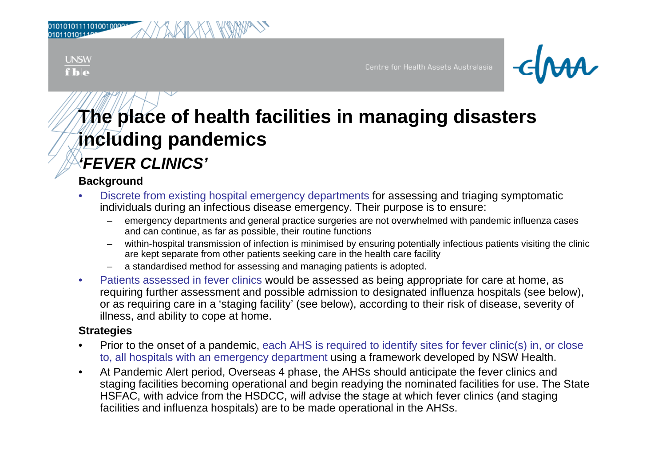**UNSW**  $f**h**$ 

Centre for Health Assets Australasia



### **The place of health facilities in managing disasters including pandemics** *'FEVER CLINICS'*

#### **Background**

- • Discrete from existing hospital emergency departments for assessing and triaging symptomatic individuals during an infectious disease emergency. Their purpose is to ensure:
	- emergency departments and general practice surgeries are not overwhelmed with pandemic influenza cases and can continue, as far as possible, their routine functions
	- within-hospital transmission of infection is minimised by ensuring potentially infectious patients visiting the clinic are kept separate from other patients seeking care in the health care facility
	- a standardised method for assessing and managing patients is adopted.
- $\bullet$  Patients assessed in fever clinics would be assessed as being appropriate for care at home, as requiring further assessment and possible admission to designated influenza hospitals (see below), or as requiring care in a 'staging facility' (see below), according to their risk of disease, severity of illness, and ability to cope at home.

- •• Prior to the onset of a pandemic, each AHS is required to identify sites for fever clinic(s) in, or close to, all hospitals with an emergency department using a framework developed by NSW Health.
- $\bullet$  At Pandemic Alert period, Overseas 4 phase, the AHSs should anticipate the fever clinics and staging facilities becoming operational and begin readying the nominated facilities for use. The State HSFAC, with advice from the HSDCC, will advise the stage at which fever clinics (and staging facilities and influenza hospitals) are to be made operational in the AHSs.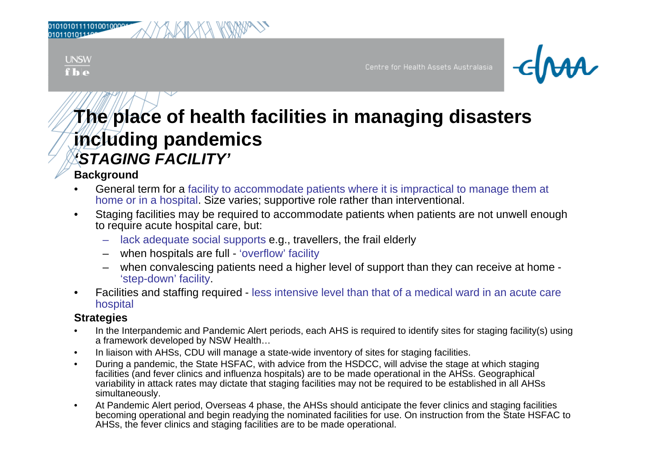| 10101011110100100001 |  |  | WWW |  |
|----------------------|--|--|-----|--|
| 10110101110e         |  |  |     |  |

**UNSW**  $f**b**$ 

Centre for Health Assets Australasia



### **The place of health facilities in managing disasters including pandemics** *'STAGING FACILITY'*

#### **Background**

- • General term for a facility to accommodate patients where it is impractical to manage them at home or in a hospital. Size varies; supportive role rather than interventional.
- • Staging facilities may be required to accommodate patients when patients are not unwell enough to require acute hospital care, but:
	- lack adequate social supports e.g., travellers, the frail elderly
	- when hospitals are full 'overflow' facility
	- when convalescing patients need a higher level of support than they can receive at home 'step-down' facility.
- $\bullet$ • Facilities and staffing required - less intensive level than that of a medical ward in an acute care hospital

- •In the Interpandemic and Pandemic Alert periods, each AHS is required to identify sites for staging facility(s) using a framework developed by NSW Health...
- •In liaison with AHSs, CDU will manage a state-wide inventory of sites for staging facilities.
- • During a pandemic, the State HSFAC, with advice from the HSDCC, will advise the stage at which staging facilities (and fever clinics and influenza hospitals) are to be made operational in the AHSs. Geographical variability in attack rates may dictate that staging facilities may not be required to be established in all AHSs simultaneously.
- • At Pandemic Alert period, Overseas 4 phase, the AHSs should anticipate the fever clinics and staging facilities becoming operational and begin readying the nominated facilities for use. On instruction from the State HSFAC to AHSs, the fever clinics and staging facilities are to be made operational.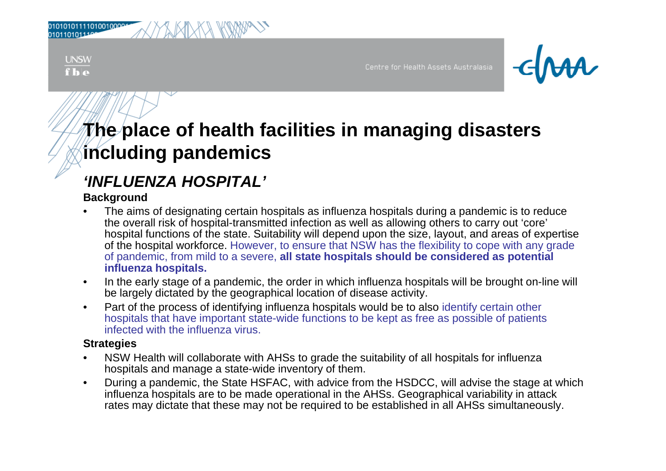**UNSW**  $f$ <sub> $h$ </sub> $\alpha$ 

Centre for Health Assets Australasia



## **The place of health facilities in managing disasters including pandemics**

### *'INFLUENZA HOSPITAL' INFLUENZA HOSPITAL*

#### **Background**

- • The aims of designating certain hospitals as influenza hospitals during a pandemic is to reduce the overall risk of hospital-transmitted infection as well as allowing others to carry out 'core' hospital functions of the state. Suitability will depend upon the size, layout, and areas of expertise of the hospital workforce. However, to ensure that NSW has the flexibility to cope with any grade of pandemic, from mild to a severe, **all state hospitals should be considered as potential influenza hospitals.**
- • In the early stage of a pandemic, the order in which influenza hospitals will be brought on-line will be largely dictated by the geographical location of disease activity.
- $\bullet$  Part of the process of identifying influenza hospitals would be to also identify certain other hospitals that have important state-wide functions to be kept as free as possible of patients infected with the influenza virus.

- $\bullet$  NSW Health will collaborate with AHSs to grade the suitability of all hospitals for influenza hospitals and manage a state-wide inventory of them.
- $\bullet$  During a pandemic, the State HSFAC, with advice from the HSDCC, will advise the stage at which influenza hospitals are to be made operational in the AHSs. Geographical variability in attack rates may dictate that these may not be required to be established in all AHSs simultaneously.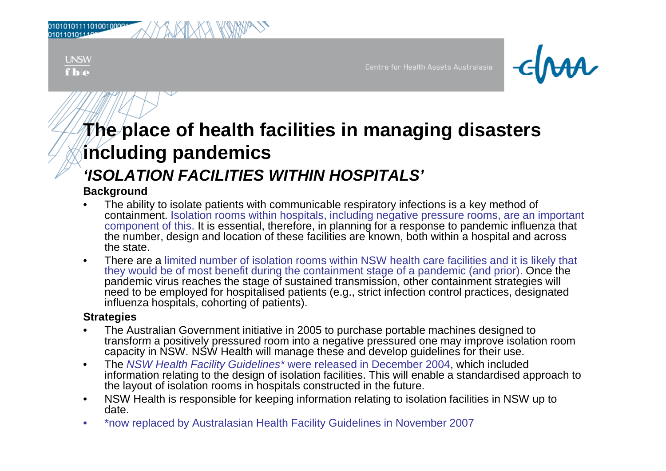| 10101011110100100004     |  |  |  |  |  |  |
|--------------------------|--|--|--|--|--|--|
| 10110101110 <sup>e</sup> |  |  |  |  |  |  |

**UNSW**  $f**h**$ 

Centre for Health Assets Australasia



### **The place of health facilities in managing disasters including pandemics** *'ISOLATION FACILITIES WITHIN HOSPITALS'*

#### **Background**

- • The ability to isolate patients with communicable respiratory infections is a key method of containment. Isolation rooms within hospitals, including negative pressure rooms, are an important component of this. It is essential, therefore, in planning for a response to pandemic influenza that the number, design and location of these facilities are known, both within a hospital and across the state.
- • There are a limited number of isolation rooms within NSW health care facilities and it is likely that they would be of most benefit during the containment stage of a pandemic (and prior). Once the pandemic virus reaches the stage of sustained transmission, other containment strategies will need to be employed for hospitalised patients (e.g., strict infection control practices, designated influenza hospitals, cohorting of patients).

- • The Australian Government initiative in 2005 to purchase portable machines designed to transform <sup>a</sup> positively pressured room into <sup>a</sup> negative pressured one may improve isolation room capacity in NSW. NSW Health will manage these and develop guidelines for their use.
- • The *NSW Health Facility Guidelines\** were released in December 2004, which included information relating to the design of isolation facilities. This will enable a standardised approach to the layout of isolation rooms in hospitals constructed in the future.
- $\bullet$ • NSW Health is responsible for keeping information relating to isolation facilities in NSW up to date.
- •\*now replaced by Australasian Health Facility Guidelines in November 2007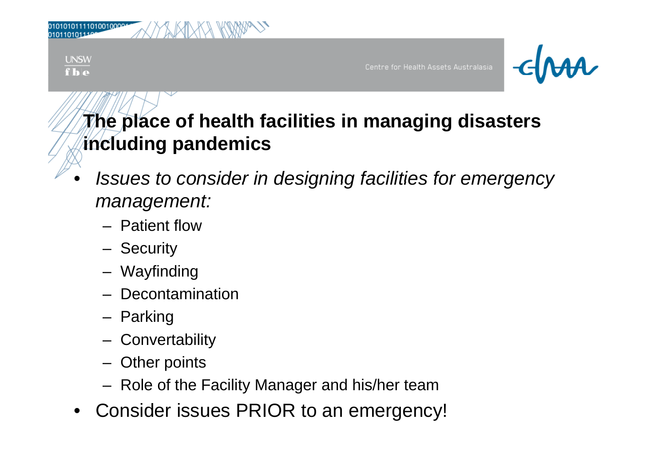| UNSW<br>___<br>fbe | Centre for Health Assets Australasia | $-d$ <i>MA</i> |
|--------------------|--------------------------------------|----------------|

- • *Issues to consider in designing facilities for emergency for emergency management:*
	- Patient flow
	- –**Security**
	- –Wayfinding
	- –Decontamination
	- –Parking
	- –- Convertability
	- –Other points
	- Role of the Facility Manager and his/her team
- $\bullet$ Consider issues PRIOR to an emergency!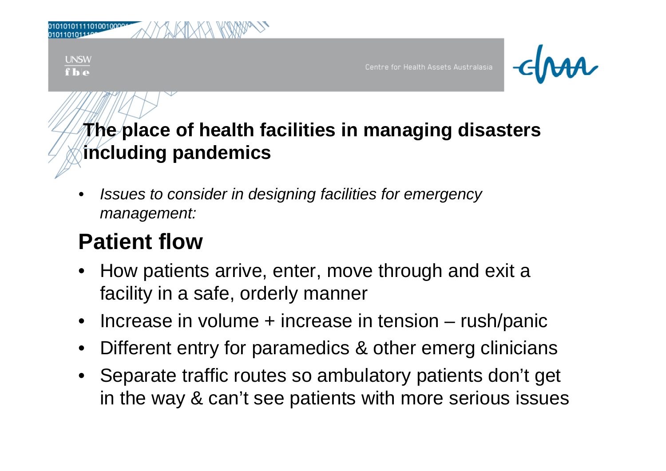| 010101011110100100001<br>0101101011199<br><b>MIXXX</b><br>MV |                                      |                |
|--------------------------------------------------------------|--------------------------------------|----------------|
| <b>UNSW</b><br>$f _{\mathbf{h} \mathbf{e}}$                  | Centre for Health Assets Australasia | $\blacksquare$ |

• *Issues to consider in designing facilities for emergency management:*

#### **Patient flow** \_ \_ \_ \_ \_ \_ \_ \_ \_ \_\_\_

- • How patients arrive, enter, move through and exit a facility in a safe, orderly manner
- $\bullet$ Increase in volume + increase in tension – rush/panic
- •• Different entry for paramedics & other emerg clinicians
- Separate traffic routes so ambulatory patients don't get in the way & can't see patients with more serious issues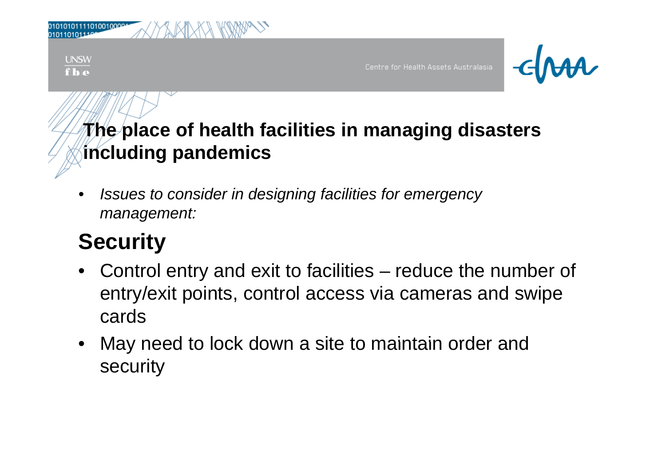| <b>MARIKA KAWA</b>                          |                                      |        |
|---------------------------------------------|--------------------------------------|--------|
| <b>UNSW</b><br>$f _{\mathbf{h} \mathbf{e}}$ | Centre for Health Assets Australasia | $-dMA$ |

• *Issues to consider in designing facilities for emergency management:*

### **Security**

- Control entry and exit to facilities reduce the number of entry/exit points, control access via cameras and swipe cards
- May need to lock down a site to maintain order and security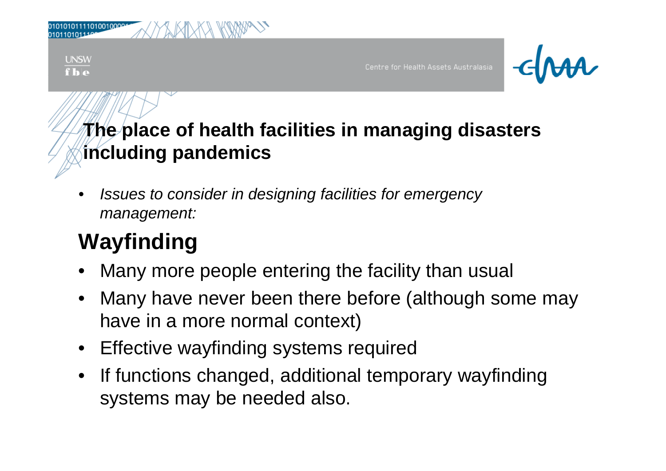| 010101011110100100001<br>0101101011199<br>W<br>IXII<br>lАN |                                      |                |
|------------------------------------------------------------|--------------------------------------|----------------|
| <b>UNSW</b><br>$f _{\mathbf{h} \mathbf{e}}$                | Centre for Health Assets Australasia | $\blacksquare$ |

• *Issues to consider in designing facilities for emergency management:*

## **W fi di Wayfi nding**

- •Many more people entering the facility than usual
- Many have never been there before (although some may have in a more normal context)
- Effective wayfinding systems required
- If functions changed, additional temporary wayfinding systems may be needed also.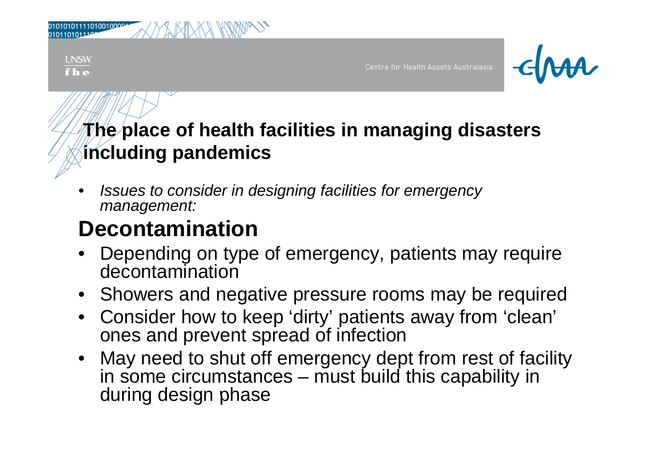| <b>UNSW</b><br>$f$ <sub>b</sub> e | Centre for Health Assets Australasia | $\blacksquare$ |
|-----------------------------------|--------------------------------------|----------------|

• *Issues to consider in designing facilities for emergency management:*

## **Decontamination**

- • Depending on type of emergency, patients may require decontamination
- Showers and negative pressure rooms may be required
- Consider how to keep 'dirty' patients away from 'clean' ones and prevent spread of infection
- May need to shut off emergency dept from rest of facility in some circumstances – must build this capability in during design phase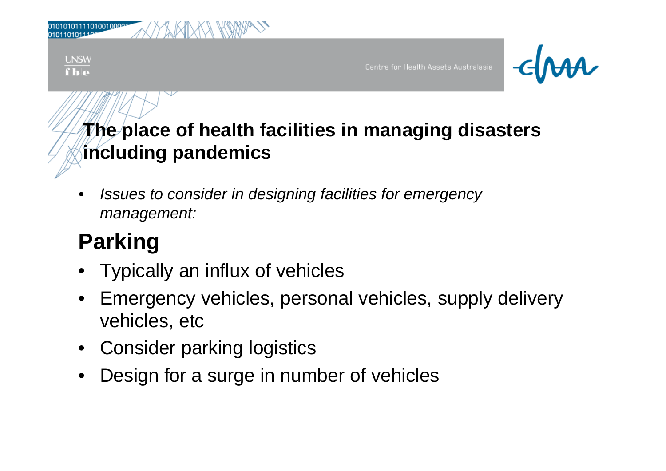| 010101011110100100004<br>0101101011106<br>$\mathbb{R}^+$<br>$\overline{\wedge}$<br>aXII` |                                      |                                 |
|------------------------------------------------------------------------------------------|--------------------------------------|---------------------------------|
| <b>UNSW</b><br>$\overline{\bf{f}}\overline{\bf{h}}\overline{\bf{e}}$                     | Centre for Health Assets Australasia | $\blacksquare$ $\epsilon$ $\mu$ |

• *Issues to consider in designing facilities for emergency management:*

## **P ki ar ng**

- Typically an influx of vehicles
- Emergency vehicles, personal vehicles, supply delivery vehicles, etc
- Consider parking logistics
- •Design for a surge in number of vehicles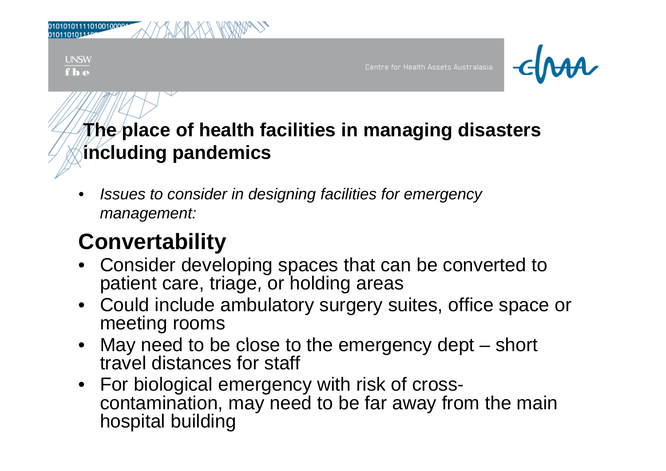| 01010101111010010000<br>M<br>∧∕ |                                      |        |
|---------------------------------|--------------------------------------|--------|
| <b>UNSW</b><br>f <b>b</b>       | Centre for Health Assets Australasia | $-dMA$ |

• *Issues to consider in designing facilities for emergency management:*

### **C t bilit Conver abilit y**

- Consider developing spaces that can be converted to patient care, triage, or holding areas
- Could include ambulatory surgery suites, office space or meeting rooms
- May need to be close to the emergency dept – short travel distances for staff
- For biological emergency with risk of crosscontamination, may need to be far away from the main hospital building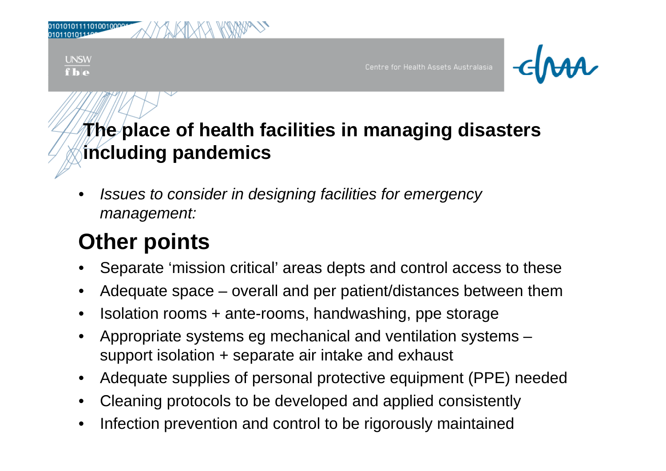| 010101011110100100004<br><b>JAT</b><br>$\mathcal{A}$ .<br>∧∕<br>∧ |                                      |                   |
|-------------------------------------------------------------------|--------------------------------------|-------------------|
| <b>UNSW</b><br>fb                                                 | Centre for Health Assets Australasia | $\sqrt{\epsilon}$ |

• *Issues to consider in designing facilities for emergency management:*

## **Oth i t Other poin s**

- Separate 'mission critical' areas depts and control access to these
- •• Adequate space  $-$  overall and per patient/distances between them
- •Isolation rooms + ante-rooms, handwashing, ppe storage
- •Appropriate systems eg mechanical and ventilation systems support isolation + separate air intake and exhaust
- Adequate supplies of personal protective equipment (PPE) needed
- $\bullet$ • Cleaning protocols to be developed and applied consistently
- •Infection prevention and control to be rigorously maintained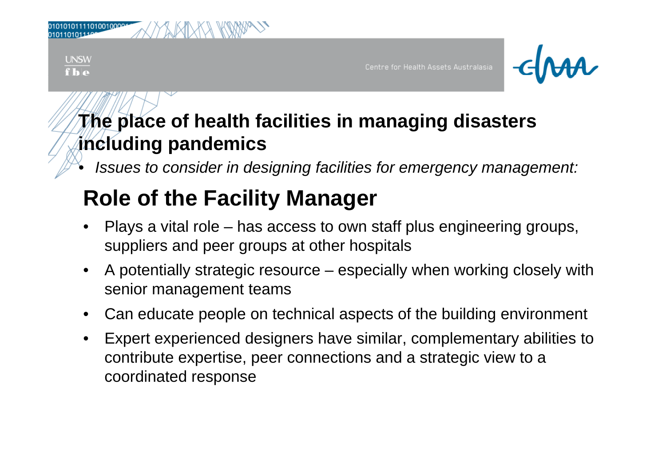| 010101011110100100001<br>01011010111999<br>WAYA KWAZ<br>MХ |                                      |        |
|------------------------------------------------------------|--------------------------------------|--------|
| <b>UNSW</b><br>f <b>b</b>                                  | Centre for Health Assets Australasia | $-dMA$ |

•*Issues to consider in designing facilities for emergency management:*

## **Role of the Facility Manager**

- •Plays a vital role – has access to own staff plus engineering groups, suppliers and peer groups at other hospitals
- • A potentially strategic resource – especially when working closely with senior management teams
- •Can educate people on technical aspects of the building environment
- •Expert experienced designers have similar, complementary abilities to contribute expertise, peer connections and a strategic view to a coordinated response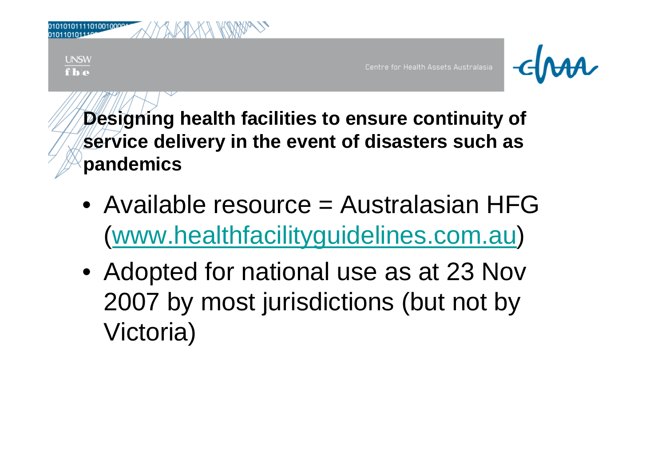| <b>UNSW</b><br>f h e | Centre for Health Assets Australasia | $-\epsilon$ Ma |
|----------------------|--------------------------------------|----------------|

**Designing health facilities to ensure continuity of service delivery in the event of disasters such as pandemics**

- Available resource = Australasian HFG (www.healthfacilityguidelines.com.au)
- Adopted for national use as at 23 Nov 2007 by most jurisdictions (but not by Victoria)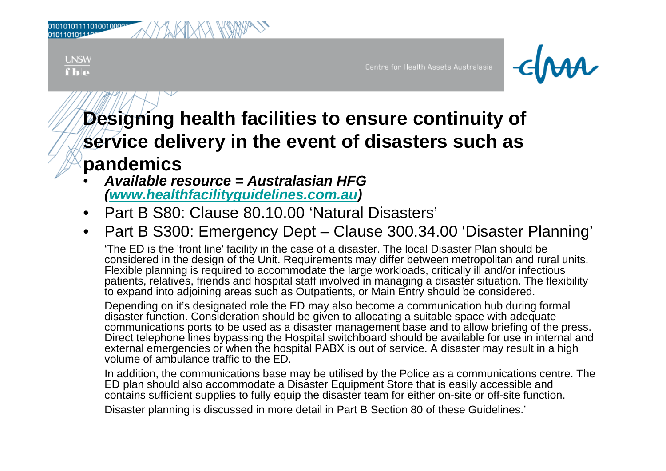| 010101011110100100001 |  | XKIX |
|-----------------------|--|------|
| 010110101110          |  |      |

**UNSW**  $f**h**$ 

Centre for Health Assets Australasia



### **Desi gg y nin g health facilities to ensure continuit y of service delivery in the event of disasters such as pandemics**

- • *Available resource <sup>=</sup> Australasian HFG(www.healthfacilityguidelines.com.au)*
- •Part B S80: Clause 80.10.00 'Natural Disasters'
- $\bullet$ • Part B S300: Emergency Dept – – Clause 300.34.00 'Disaster Planning'

'The ED is the 'front line' facility in the case of a disaster. The local Disaster Plan should be considered in the design of the Unit. Requirements may differ between metropolitan and rural units. Flexible planning is required to accommodate the large workloads, critically ill and/or infectious patients, relatives, friends and hospital staff involved in managing a disaster situation. The flexibility to expand into adjoining areas such as Outpatients, or Main Entry should be considered.

Depending on it's designated role the ED may also become a communication hub during formal disaster function. Consideration should be given to allocating a suitable space with adequate communications ports to be used as a disaster management base and to allow briefing of the press. Direct telephone lines bypassing the Hospital switchboard should be available for use in internal and external emergencies or when the hospital PABX is out of service. A disaster may result in a high volume of ambulance traffic to the ED.

In addition, the communications base may be utilised by the Police as a communications centre. The ED plan should also accommodate a Disaster Equipment Store that is easily accessible and contains sufficient supplies to fully equip the disaster team for either on-site or off-site function. Disaster planning is discussed in more detail in Part B Section 80 of these Guidelines.'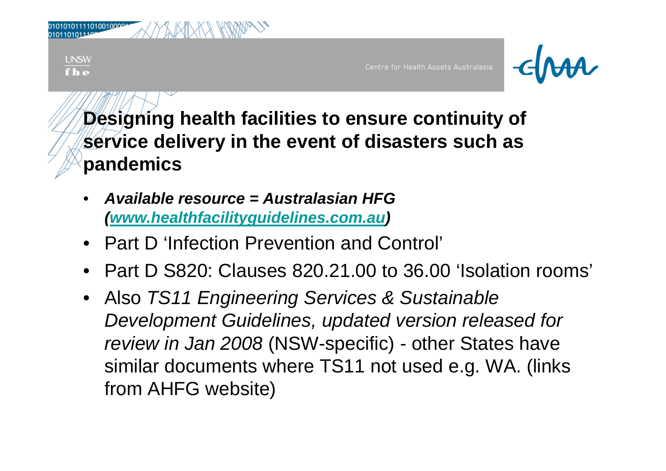| WW<br>010101011110100100004<br>MXXX<br>$\overline{\wedge}$ |                                      |             |
|------------------------------------------------------------|--------------------------------------|-------------|
| <b>JNSW</b><br>$f _{\mathbf{h}}$                           | Centre for Health Assets Australasia | <b>CIMA</b> |

**Designing health facilities to ensure continuity of service delivery in the event of disasters such as pandemics**

- • *Available resource = Australasian HFG(www.healthfacilityguidelines.com.au)*
- Part D 'Infection Prevention and Control'
- Part D S820: Clauses 820.21.00 to 36.00 'Isolation rooms'
- Also *TS11 Engineering Services & Sustainable Development Guidelines, updated version released for review in Jan* 2008 (NSW-specific) - other States have similar documents where TS11 not used e.g. WA. (links from AHFG website)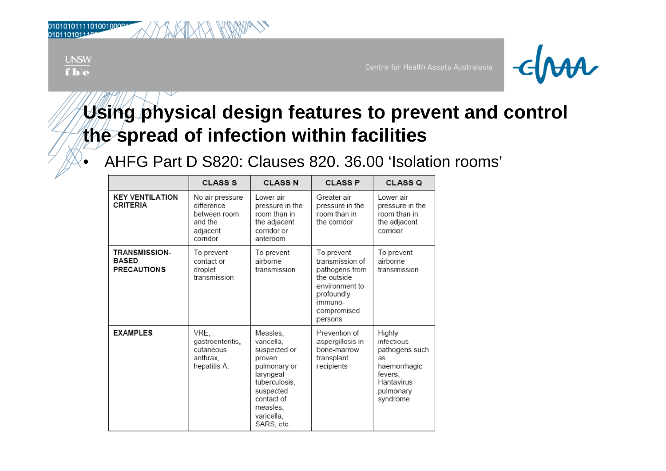| 10101011110100100001 |  |  |  | KW |
|----------------------|--|--|--|----|
| 101101011104         |  |  |  |    |

| _ |  |  |
|---|--|--|

•



### **Using physical design features to prevent and control**  the spread of infection within facilities

AHFG Part D S820: Clauses 820. 36.00 'Isolation rooms'

|                                                            | <b>CLASS S</b>                                                                   | <b>CLASS N</b>                                                                                                                                                    | <b>CLASS P</b>                                                                                                                      | CLASS <sub>Q</sub>                                                                                             |
|------------------------------------------------------------|----------------------------------------------------------------------------------|-------------------------------------------------------------------------------------------------------------------------------------------------------------------|-------------------------------------------------------------------------------------------------------------------------------------|----------------------------------------------------------------------------------------------------------------|
| <b>KEY VENTILATION</b><br><b>CRITERIA</b>                  | No air pressure<br>difference<br>between room<br>and the<br>adjacent<br>corridor | I ower air<br>pressure in the<br>room than in<br>the adjacent<br>corridor or<br>anteroom                                                                          | Greater air<br>pressure in the<br>room than in<br>the corridor                                                                      | I ower air<br>pressure in the<br>room than in<br>the adjacent<br>corridor                                      |
| <b>TRANSMISSION-</b><br><b>BASED</b><br><b>PRECAUTIONS</b> | To prevent<br>contact or<br>droplet<br>transmission                              | To prevent<br>airborne<br>transmission                                                                                                                            | To prevent<br>transmission of<br>pathogens from<br>the outside<br>environment to<br>profoundly<br>immuno-<br>compromised<br>persons | To prevent<br>airborne<br>transmission                                                                         |
| <b>EXAMPLES</b>                                            | VRE.<br>gastroenteritis,<br>cutaneous<br>anthrax,<br>hepatitis A.                | Measles,<br>varicella,<br>suspected or<br>proven<br>pulmonary or<br>laryngeal<br>tuberculosis,<br>suspected<br>contact of<br>measles.<br>varicella,<br>SARS, etc. | Prevention of<br>aspergillosis in<br>bone-marrow<br>transplant<br>recipients                                                        | Highly<br>infectious<br>pathogens such<br>as<br>haemorrhagic<br>fevers,<br>Hantavirus<br>pulmonary<br>syndrome |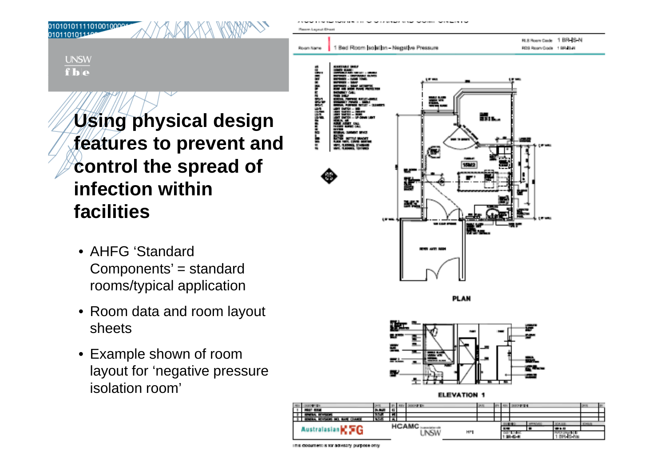

**UNSW**  $f**h**$ 

010101011110100100001<br>0101101011106

 *sing physical design* **features to prevent and control the spread of infection within facilities**

- AHFG 'Standard Components' = standard rooms/typical application
- Room data and room layout sheets
- Example shown of room layout for 'negative pressure isolation room'

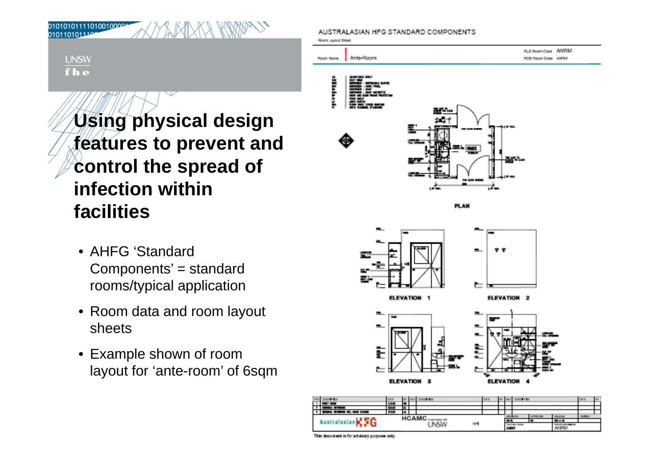010101011110100100001 0101101011109

> **UNSW**  $f**h**$

> > *sing physical design* **features to prevent and control the spread of infection within facilities**

- AHFG 'Standard Components' = standard rooms/typical application
- Room data and room layout sheets
- Example shown of room layout for 'ante-room' of 6sqm

AUSTRALASIAN HFG STANDARD COMPONENTS





Australasian C 5G

 $\overline{1}$ 

**HCAMC**<br>UNSW

HP.

**ANRW**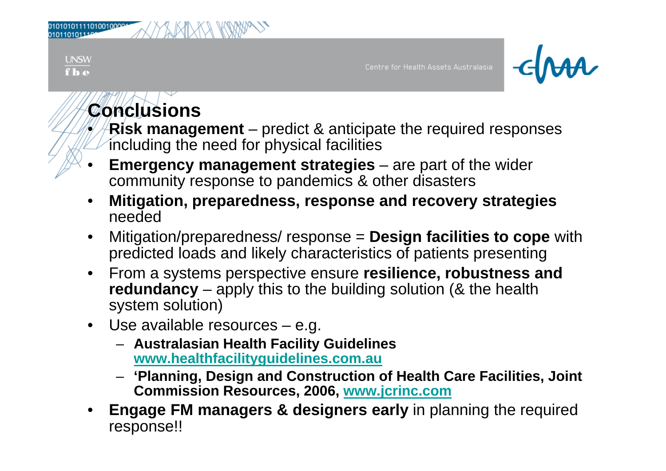|               |          | ₩<br>Ж        |  |
|---------------|----------|---------------|--|
| 0101101011100 | ND<br>MK | MAN<br>v<br>M |  |
|               |          |               |  |
|               |          |               |  |



## **Conclusions**

•

**UNSW**  $f**h**$ 

> **Risk management** predict & anticipate the required responses including the need for physical facilities

- • **Emergency management strategies** – are part of the wider community response to pandemics & other disasters
- • **Mitigation, preparedness, response and recovery strategies** needed
- $\bullet$  Mitigation/preparedness/ response <sup>=</sup> **Design facilities to cope** with predicted loads and likely characteristics of patients presenting
- From a systems perspective ensure **resilience, robustness and redundancy**  $-$  apply this to the building solution (& the health system solution)
- Use available resources e.g.
	- **Australasian Health Facility Guidelines www.healthfacilityguidelines.com.au**
	- **'Planning, Design and Construction of Health Care Facilities, Joint Commission Resources, 2006, www.jcrinc.com**
- • **Engage FM managers & designers early** in planning the required response!!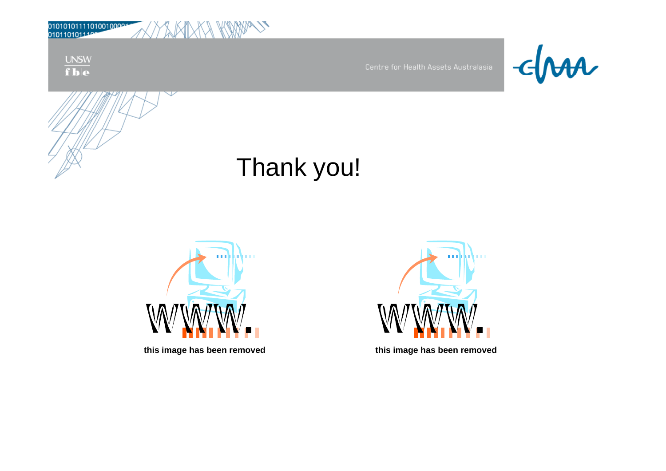| 0101010111101001000011 |  |  | KANA |  |
|------------------------|--|--|------|--|
| 0101101011100          |  |  |      |  |

 $\frac{\text{UNSW}}{\text{f} \cdot \text{b} \cdot \text{e}}$ 



## Thank you!